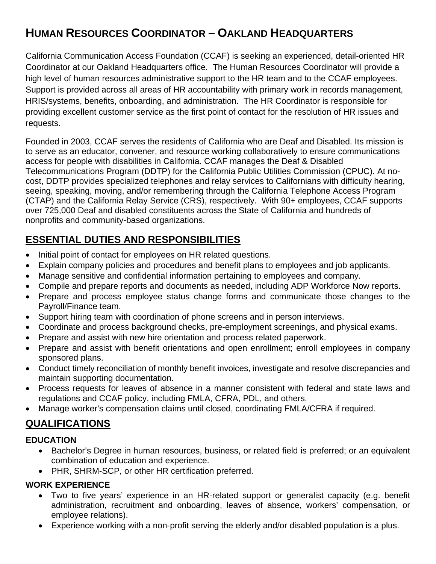# **HUMAN RESOURCES COORDINATOR – OAKLAND HEADQUARTERS**

California Communication Access Foundation (CCAF) is seeking an experienced, detail-oriented HR Coordinator at our Oakland Headquarters office. The Human Resources Coordinator will provide a high level of human resources administrative support to the HR team and to the CCAF employees. Support is provided across all areas of HR accountability with primary work in records management, HRIS/systems, benefits, onboarding, and administration. The HR Coordinator is responsible for providing excellent customer service as the first point of contact for the resolution of HR issues and requests.

Founded in 2003, CCAF serves the residents of California who are Deaf and Disabled. Its mission is to serve as an educator, convener, and resource working collaboratively to ensure communications access for people with disabilities in California. CCAF manages the Deaf & Disabled Telecommunications Program (DDTP) for the California Public Utilities Commission (CPUC). At nocost, DDTP provides specialized telephones and relay services to Californians with difficulty hearing, seeing, speaking, moving, and/or remembering through the California Telephone Access Program (CTAP) and the California Relay Service (CRS), respectively. With 90+ employees, CCAF supports over 725,000 Deaf and disabled constituents across the State of California and hundreds of nonprofits and community-based organizations.

# **ESSENTIAL DUTIES AND RESPONSIBILITIES**

- Initial point of contact for employees on HR related questions.
- Explain company policies and procedures and benefit plans to employees and job applicants.
- Manage sensitive and confidential information pertaining to employees and company.
- Compile and prepare reports and documents as needed, including ADP Workforce Now reports.
- Prepare and process employee status change forms and communicate those changes to the Payroll/Finance team.
- Support hiring team with coordination of phone screens and in person interviews.
- Coordinate and process background checks, pre-employment screenings, and physical exams.
- Prepare and assist with new hire orientation and process related paperwork.
- Prepare and assist with benefit orientations and open enrollment; enroll employees in company sponsored plans.
- Conduct timely reconciliation of monthly benefit invoices, investigate and resolve discrepancies and maintain supporting documentation.
- Process requests for leaves of absence in a manner consistent with federal and state laws and regulations and CCAF policy, including FMLA, CFRA, PDL, and others.
- Manage worker's compensation claims until closed, coordinating FMLA/CFRA if required.

## **QUALIFICATIONS**

#### **EDUCATION**

- Bachelor's Degree in human resources, business, or related field is preferred; or an equivalent combination of education and experience.
- PHR, SHRM-SCP, or other HR certification preferred.

#### **WORK EXPERIENCE**

- Two to five years' experience in an HR-related support or generalist capacity (e.g. benefit administration, recruitment and onboarding, leaves of absence, workers' compensation, or employee relations).
- Experience working with a non-profit serving the elderly and/or disabled population is a plus.